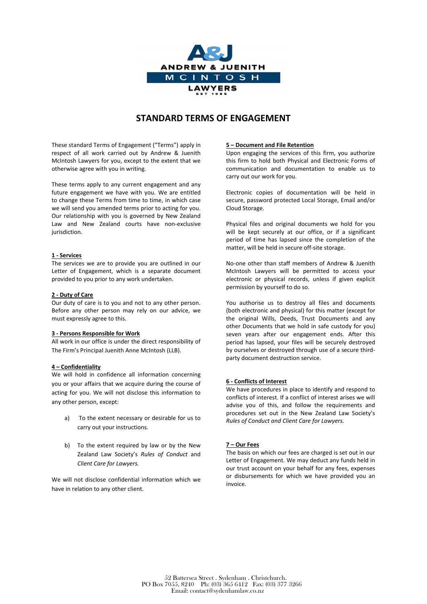

# **STANDARD TERMS OF ENGAGEMENT**

These standard Terms of Engagement ("Terms") apply in respect of all work carried out by Andrew & Juenith McIntosh Lawyers for you, except to the extent that we otherwise agree with you in writing.

These terms apply to any current engagement and any future engagement we have with you. We are entitled to change these Terms from time to time, in which case we will send you amended terms prior to acting for you. Our relationship with you is governed by New Zealand Law and New Zealand courts have non-exclusive jurisdiction.

## **1 - Services**

The services we are to provide you are outlined in our Letter of Engagement, which is a separate document provided to you prior to any work undertaken.

## **2 - Duty of Care**

Our duty of care is to you and not to any other person. Before any other person may rely on our advice, we must expressly agree to this.

## **3 - Persons Responsible for Work**

All work in our office is under the direct responsibility of The Firm's Principal Juenith Anne McIntosh (LLB).

## **4 – Confidentiality**

We will hold in confidence all information concerning you or your affairs that we acquire during the course of acting for you. We will not disclose this information to any other person, except:

- a) To the extent necessary or desirable for us to carry out your instructions.
- b) To the extent required by law or by the New Zealand Law Society's *Rules of Conduct* and *Client Care for Lawyers.*

We will not disclose confidential information which we have in relation to any other client.

# **5 – Document and File Retention**

Upon engaging the services of this firm, you authorize this firm to hold both Physical and Electronic Forms of communication and documentation to enable us to carry out our work for you.

Electronic copies of documentation will be held in secure, password protected Local Storage, Email and/or Cloud Storage.

Physical files and original documents we hold for you will be kept securely at our office, or if a significant period of time has lapsed since the completion of the matter, will be held in secure off-site storage.

No-one other than staff members of Andrew & Juenith McIntosh Lawyers will be permitted to access your electronic or physical records, unless if given explicit permission by yourself to do so.

You authorise us to destroy all files and documents (both electronic and physical) for this matter (except for the original Wills, Deeds, Trust Documents and any other Documents that we hold in safe custody for you) seven years after our engagement ends. After this period has lapsed, your files will be securely destroyed by ourselves or destroyed through use of a secure thirdparty document destruction service.

## **6 - Conflicts of Interest**

We have procedures in place to identify and respond to conflicts of interest. If a conflict of interest arises we will advise you of this, and follow the requirements and procedures set out in the New Zealand Law Society's *Rules of Conduct and Client Care for Lawyers.*

## **7 – Our Fees**

The basis on which our fees are charged is set out in our Letter of Engagement. We may deduct any funds held in our trust account on your behalf for any fees, expenses or disbursements for which we have provided you an invoice.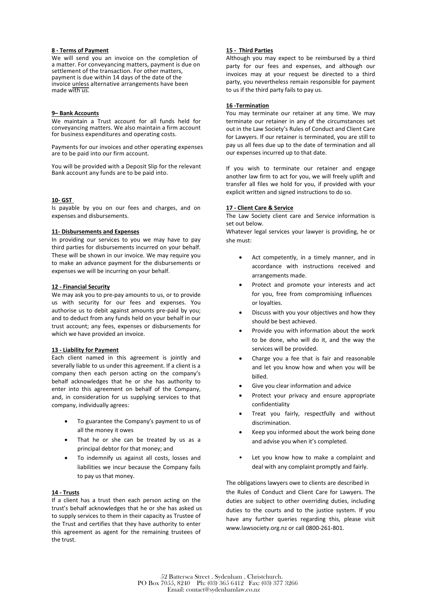## **8 - Terms of Payment**

We will send you an invoice on the completion of a matter. For conveyancing matters, payment is due on made with us. invoice unless alternative arrangements have been payment is due within 14 days of the date of the settlement of the transaction. For other matters,

#### **9– Bank Accounts**

We maintain a Trust account for all funds held for for business expenditures and operating costs. conveyancing matters. We also maintain a firm account

are to be paid into our firm account. Payments for our invoices and other operating expenses

You will be provided with a Deposit Slip for the relevant Bank account any funds are to be paid into.

## **10- GST**

Is payable by you on our fees and charges, and on expenses and disbursements.

## **11- Disbursements and Expenses**

In providing our services to you we may have to pay third parties for disbursements incurred on your behalf. These will be shown in our invoice. We may require you to make an advance payment for the disbursements or expenses we will be incurring on your behalf.

## **12 - Financial Security**

We may ask you to pre-pay amounts to us, or to provide us with security for our fees and expenses. You authorise us to debit against amounts pre-paid by you; and to deduct from any funds held on your behalf in our trust account; any fees, expenses or disbursements for which we have provided an invoice.

#### **13 - Liability for Payment**

Each client named in this agreement is jointly and severally liable to us under this agreement. If a client is a company then each person acting on the company's behalf acknowledges that he or she has authority to enter into this agreement on behalf of the Company, and, in consideration for us supplying services to that company, individually agrees:

- To guarantee the Company's payment to us of all the money it owes
- That he or she can be treated by us as a principal debtor for that money; and
- To indemnify us against all costs, losses and liabilities we incur because the Company fails to pay us that money.

#### **14 - Trusts**

If a client has a trust then each person acting on the trust's behalf acknowledges that he or she has asked us to supply services to them in their capacity as Trustee of the Trust and certifies that they have authority to enter this agreement as agent for the remaining trustees of the trust.

# **15 - Third Parties**

Although you may expect to be reimbursed by a third party for our fees and expenses, and although our invoices may at your request be directed to a third party, you nevertheless remain responsible for payment to us if the third party fails to pay us.

## **16 -Termination**

You may terminate our retainer at any time. We may terminate our retainer in any of the circumstances set out in the Law Society's Rules of Conduct and Client Care for Lawyers. If our retainer is terminated, you are still to pay us all fees due up to the date of termination and all our expenses incurred up to that date.

If you wish to terminate our retainer and engage another law firm to act for you, we will freely uplift and transfer all files we hold for you, if provided with your explicit written and signed instructions to do so.

## **17 - Client Care & Service**

The Law Society client care and Service information is set out below.

Whatever legal services your lawyer is providing, he or she must:

- Act competently, in a timely manner, and in accordance with instructions received and arrangements made.
- Protect and promote your interests and act for you, free from compromising influences or loyalties.
- Discuss with you your objectives and how they should be best achieved.
- Provide you with information about the work to be done, who will do it, and the way the services will be provided.
- Charge you a fee that is fair and reasonable and let you know how and when you will be billed.
- Give you clear information and advice
- Protect your privacy and ensure appropriate confidentiality
- Treat you fairly, respectfully and without discrimination.
- Keep you informed about the work being done and advise you when it's completed.
- Let you know how to make a complaint and deal with any complaint promptly and fairly.

The obligations lawyers owe to clients are described in the Rules of Conduct and Client Care for Lawyers. The duties are subject to other overriding duties, including duties to the courts and to the justice system. If you have any further queries regarding this, please visit www.lawsociety.org.nz or call 0800-261-801.